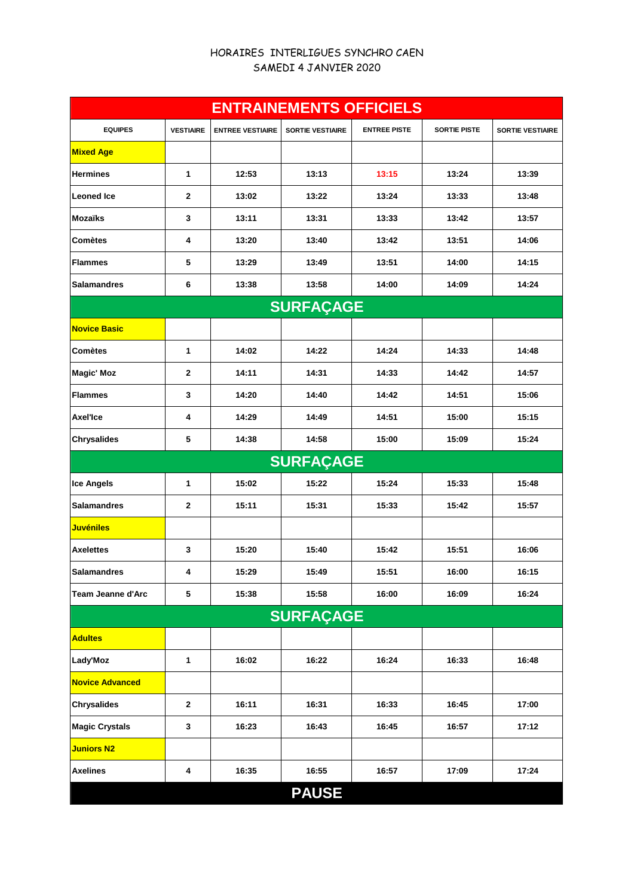## HORAIRES INTERLIGUES SYNCHRO CAEN SAMEDI 4 JANVIER 2020

| <b>ENTRAINEMENTS OFFICIELS</b> |                  |                         |                         |                     |                     |                         |  |  |  |  |
|--------------------------------|------------------|-------------------------|-------------------------|---------------------|---------------------|-------------------------|--|--|--|--|
| <b>EQUIPES</b>                 | <b>VESTIAIRE</b> | <b>ENTREE VESTIAIRE</b> | <b>SORTIE VESTIAIRE</b> | <b>ENTREE PISTE</b> | <b>SORTIE PISTE</b> | <b>SORTIE VESTIAIRE</b> |  |  |  |  |
| <b>Mixed Age</b>               |                  |                         |                         |                     |                     |                         |  |  |  |  |
| <b>Hermines</b>                | 1                | 12:53                   | 13:13                   | 13:15               | 13:24               | 13:39                   |  |  |  |  |
| <b>Leoned Ice</b>              | 2                | 13:02                   | 13:22                   | 13:24               | 13:33               | 13:48                   |  |  |  |  |
| <b>Mozaïks</b>                 | 3                | 13:11                   | 13:31                   | 13:33               | 13:42               | 13:57                   |  |  |  |  |
| <b>Comètes</b>                 | 4                | 13:20                   | 13:40                   | 13:42               | 13:51               | 14:06                   |  |  |  |  |
| <b>Flammes</b>                 | 5                | 13:29                   | 13:49                   | 13:51               | 14:00               | 14:15                   |  |  |  |  |
| <b>Salamandres</b>             | 6                | 13:38                   | 13:58                   | 14:00               | 14:09               | 14:24                   |  |  |  |  |
| <b>SURFAÇAGE</b>               |                  |                         |                         |                     |                     |                         |  |  |  |  |
| <b>Novice Basic</b>            |                  |                         |                         |                     |                     |                         |  |  |  |  |
| <b>Comètes</b>                 | 1                | 14:02                   | 14:22                   | 14:24               | 14:33               | 14:48                   |  |  |  |  |
| <b>Magic' Moz</b>              | $\mathbf{2}$     | 14:11                   | 14:31                   | 14:33               | 14:42               | 14:57                   |  |  |  |  |
| <b>Flammes</b>                 | 3                | 14:20                   | 14:40                   | 14:42               | 14:51               | 15:06                   |  |  |  |  |
| Axel'Ice                       | 4                | 14:29                   | 14:49                   | 14:51               | 15:00               | 15:15                   |  |  |  |  |
| <b>Chrysalides</b>             | 5                | 14:38                   | 14:58                   | 15:00               | 15:09               | 15:24                   |  |  |  |  |
|                                |                  |                         | <b>SURFAÇAGE</b>        |                     |                     |                         |  |  |  |  |
| <b>Ice Angels</b>              | 1                | 15:02                   | 15:22                   | 15:24               | 15:33               | 15:48                   |  |  |  |  |
| <b>Salamandres</b>             | 2                | 15:11                   | 15:31                   | 15:33               | 15:42               | 15:57                   |  |  |  |  |
| <b>Juvéniles</b>               |                  |                         |                         |                     |                     |                         |  |  |  |  |
| <b>Axelettes</b>               | 3                | 15:20                   | 15:40                   | 15:42               | 15:51               | 16:06                   |  |  |  |  |
| <b>Salamandres</b>             | 4                | 15:29                   | 15:49                   | 15:51               | 16:00               | 16:15                   |  |  |  |  |
| Team Jeanne d'Arc              | 5                | 15:38                   | 15:58                   | 16:00               | 16:09               | 16:24                   |  |  |  |  |
| <b>SURFAÇAGE</b>               |                  |                         |                         |                     |                     |                         |  |  |  |  |
| <b>Adultes</b>                 |                  |                         |                         |                     |                     |                         |  |  |  |  |
| Lady'Moz                       | 1                | 16:02                   | 16:22                   | 16:24               | 16:33               | 16:48                   |  |  |  |  |
| <b>Novice Advanced</b>         |                  |                         |                         |                     |                     |                         |  |  |  |  |
| <b>Chrysalides</b>             | $\mathbf{2}$     | 16:11                   | 16:31                   | 16:33               | 16:45               | 17:00                   |  |  |  |  |
| <b>Magic Crystals</b>          | 3                | 16:23                   | 16:43                   | 16:45               | 16:57               | 17:12                   |  |  |  |  |
| <b>Juniors N2</b>              |                  |                         |                         |                     |                     |                         |  |  |  |  |
| <b>Axelines</b>                | 4                | 16:35                   | 16:55                   | 16:57               | 17:09               | 17:24                   |  |  |  |  |
|                                |                  |                         | <b>PAUSE</b>            |                     |                     |                         |  |  |  |  |